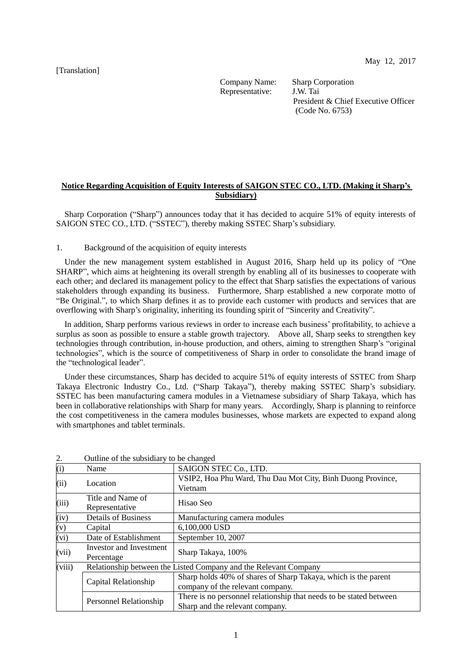May 12, 2017

[Translation]

Company Name: Sharp Corporation Representative: J.W. Tai

President & Chief Executive Officer (Code No. 6753)

## **Notice Regarding Acquisition of Equity Interests of SAIGON STEC CO., LTD. (Making it Sharp's Subsidiary)**

Sharp Corporation ("Sharp") announces today that it has decided to acquire 51% of equity interests of SAIGON STEC CO., LTD. ("SSTEC"), thereby making SSTEC Sharp's subsidiary.

## 1. Background of the acquisition of equity interests

Under the new management system established in August 2016, Sharp held up its policy of "One SHARP", which aims at heightening its overall strength by enabling all of its businesses to cooperate with each other; and declared its management policy to the effect that Sharp satisfies the expectations of various stakeholders through expanding its business. Furthermore, Sharp established a new corporate motto of "Be Original.", to which Sharp defines it as to provide each customer with products and services that are overflowing with Sharp's originality, inheriting its founding spirit of "Sincerity and Creativity".

In addition, Sharp performs various reviews in order to increase each business' profitability, to achieve a surplus as soon as possible to ensure a stable growth trajectory. Above all, Sharp seeks to strengthen key technologies through contribution, in-house production, and others, aiming to strengthen Sharp's "original technologies", which is the source of competitiveness of Sharp in order to consolidate the brand image of the "technological leader".

Under these circumstances, Sharp has decided to acquire 51% of equity interests of SSTEC from Sharp Takaya Electronic Industry Co., Ltd. ("Sharp Takaya"), thereby making SSTEC Sharp's subsidiary. SSTEC has been manufacturing camera modules in a Vietnamese subsidiary of Sharp Takaya, which has been in collaborative relationships with Sharp for many years. Accordingly, Sharp is planning to reinforce the cost competitiveness in the camera modules businesses, whose markets are expected to expand along with smartphones and tablet terminals.

| (i)                    | Name                                                             | SAIGON STEC Co., LTD.                                                                                 |  |
|------------------------|------------------------------------------------------------------|-------------------------------------------------------------------------------------------------------|--|
| (ii)                   | Location                                                         | VSIP2, Hoa Phu Ward, Thu Dau Mot City, Binh Duong Province,<br>Vietnam                                |  |
| (iii)                  | Title and Name of<br>Representative                              | Hisao Seo                                                                                             |  |
| (iv)                   | <b>Details of Business</b>                                       | Manufacturing camera modules                                                                          |  |
| (v)                    | Capital                                                          | 6,100,000 USD                                                                                         |  |
| (vi)                   | Date of Establishment                                            | September 10, 2007                                                                                    |  |
| (vii)                  | Investor and Investment<br>Percentage                            | Sharp Takaya, 100%                                                                                    |  |
| (viii)                 | Relationship between the Listed Company and the Relevant Company |                                                                                                       |  |
|                        | Capital Relationship                                             | Sharp holds 40% of shares of Sharp Takaya, which is the parent<br>company of the relevant company.    |  |
| Personnel Relationship |                                                                  | There is no personnel relationship that needs to be stated between<br>Sharp and the relevant company. |  |

2. Outline of the subsidiary to be changed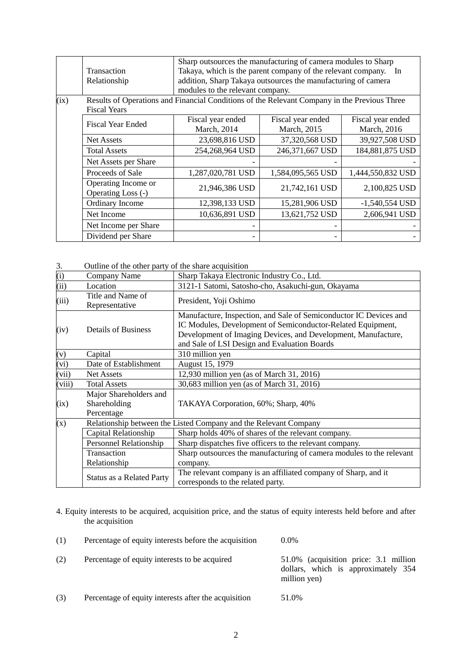|      |                                                                                                                     | Sharp outsources the manufacturing of camera modules to Sharp                                                                    |                   |                   |  |  |
|------|---------------------------------------------------------------------------------------------------------------------|----------------------------------------------------------------------------------------------------------------------------------|-------------------|-------------------|--|--|
|      | <b>Transaction</b>                                                                                                  | Takaya, which is the parent company of the relevant company. In<br>addition, Sharp Takaya outsources the manufacturing of camera |                   |                   |  |  |
|      | Relationship                                                                                                        |                                                                                                                                  |                   |                   |  |  |
|      |                                                                                                                     | modules to the relevant company.                                                                                                 |                   |                   |  |  |
| (ix) | Results of Operations and Financial Conditions of the Relevant Company in the Previous Three<br><b>Fiscal Years</b> |                                                                                                                                  |                   |                   |  |  |
|      | <b>Fiscal Year Ended</b>                                                                                            | Fiscal year ended                                                                                                                | Fiscal year ended | Fiscal year ended |  |  |
|      |                                                                                                                     | March, 2014                                                                                                                      | March, 2015       | March, 2016       |  |  |
|      | <b>Net Assets</b>                                                                                                   | 23,698,816 USD                                                                                                                   | 37,320,568 USD    | 39,927,508 USD    |  |  |
|      | <b>Total Assets</b>                                                                                                 | 254,268,964 USD                                                                                                                  | 246,371,667 USD   | 184,881,875 USD   |  |  |
|      | Net Assets per Share                                                                                                |                                                                                                                                  |                   |                   |  |  |
|      | Proceeds of Sale                                                                                                    | 1,287,020,781 USD                                                                                                                | 1,584,095,565 USD | 1,444,550,832 USD |  |  |
|      | Operating Income or<br>Operating Loss (-)                                                                           | 21,946,386 USD                                                                                                                   | 21,742,161 USD    | 2,100,825 USD     |  |  |
|      | Ordinary Income                                                                                                     | 12,398,133 USD                                                                                                                   | 15,281,906 USD    | $-1,540,554$ USD  |  |  |
|      | Net Income                                                                                                          | 10,636,891 USD                                                                                                                   | 13,621,752 USD    | 2,606,941 USD     |  |  |
|      | Net Income per Share                                                                                                |                                                                                                                                  |                   |                   |  |  |
|      | Dividend per Share                                                                                                  |                                                                                                                                  |                   |                   |  |  |

3. Outline of the other party of the share acquisition

| $\frac{(\mathrm{i})}{(\mathrm{ii})}$ | Company Name                                                     | Sharp Takaya Electronic Industry Co., Ltd.                                                                                                                                                                                                        |  |
|--------------------------------------|------------------------------------------------------------------|---------------------------------------------------------------------------------------------------------------------------------------------------------------------------------------------------------------------------------------------------|--|
|                                      | Location                                                         | 3121-1 Satomi, Satosho-cho, Asakuchi-gun, Okayama                                                                                                                                                                                                 |  |
| (iii)                                | Title and Name of<br>Representative                              | President, Yoji Oshimo                                                                                                                                                                                                                            |  |
| (iv)                                 | <b>Details of Business</b>                                       | Manufacture, Inspection, and Sale of Semiconductor IC Devices and<br>IC Modules, Development of Semiconductor-Related Equipment,<br>Development of Imaging Devices, and Development, Manufacture,<br>and Sale of LSI Design and Evaluation Boards |  |
| (v)                                  | Capital                                                          | 310 million yen                                                                                                                                                                                                                                   |  |
| (vi)                                 | Date of Establishment                                            | August 15, 1979                                                                                                                                                                                                                                   |  |
| (vii)                                | <b>Net Assets</b>                                                | 12,930 million yen (as of March 31, 2016)                                                                                                                                                                                                         |  |
| (viii)                               | <b>Total Assets</b>                                              | 30,683 million yen (as of March 31, 2016)                                                                                                                                                                                                         |  |
| (ix)                                 | Major Shareholders and<br>Shareholding<br>Percentage             | TAKAYA Corporation, 60%; Sharp, 40%                                                                                                                                                                                                               |  |
| (x)                                  | Relationship between the Listed Company and the Relevant Company |                                                                                                                                                                                                                                                   |  |
|                                      | Capital Relationship                                             | Sharp holds 40% of shares of the relevant company.                                                                                                                                                                                                |  |
|                                      | <b>Personnel Relationship</b>                                    | Sharp dispatches five officers to the relevant company.                                                                                                                                                                                           |  |
|                                      | Transaction                                                      | Sharp outsources the manufacturing of camera modules to the relevant                                                                                                                                                                              |  |
|                                      | Relationship                                                     | company.                                                                                                                                                                                                                                          |  |
|                                      | <b>Status as a Related Party</b>                                 | The relevant company is an affiliated company of Sharp, and it<br>corresponds to the related party.                                                                                                                                               |  |

4. Equity interests to be acquired, acquisition price, and the status of equity interests held before and after the acquisition

| (1) | Percentage of equity interests before the acquisition | $0.0\%$                                                                                      |
|-----|-------------------------------------------------------|----------------------------------------------------------------------------------------------|
| (2) | Percentage of equity interests to be acquired         | 51.0% (acquisition price: 3.1 million<br>dollars, which is approximately 354<br>million yen) |
| (3) | Percentage of equity interests after the acquisition  | 51.0%                                                                                        |